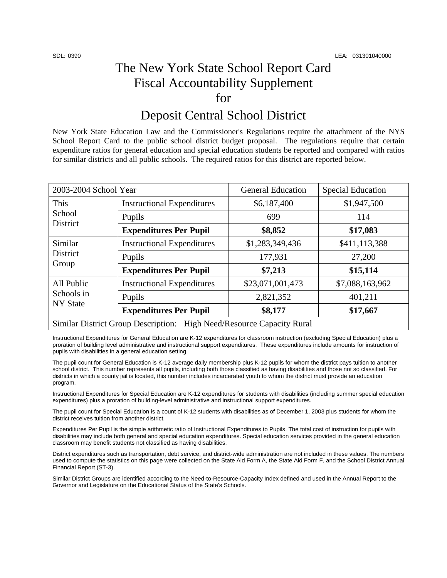# The New York State School Report Card Fiscal Accountability Supplement for

### Deposit Central School District

New York State Education Law and the Commissioner's Regulations require the attachment of the NYS School Report Card to the public school district budget proposal. The regulations require that certain expenditure ratios for general education and special education students be reported and compared with ratios for similar districts and all public schools. The required ratios for this district are reported below.

| 2003-2004 School Year                                                 |                                   | <b>General Education</b> | <b>Special Education</b> |  |  |
|-----------------------------------------------------------------------|-----------------------------------|--------------------------|--------------------------|--|--|
| This<br>School<br>District                                            | <b>Instructional Expenditures</b> | \$6,187,400              | \$1,947,500              |  |  |
|                                                                       | Pupils                            | 699                      | 114                      |  |  |
|                                                                       | <b>Expenditures Per Pupil</b>     | \$8,852                  | \$17,083                 |  |  |
| Similar<br><b>District</b><br>Group                                   | <b>Instructional Expenditures</b> | \$1,283,349,436          | \$411,113,388            |  |  |
|                                                                       | Pupils                            | 177,931                  | 27,200                   |  |  |
|                                                                       | <b>Expenditures Per Pupil</b>     | \$7,213                  | \$15,114                 |  |  |
| All Public<br>Schools in<br><b>NY</b> State                           | <b>Instructional Expenditures</b> | \$23,071,001,473         | \$7,088,163,962          |  |  |
|                                                                       | Pupils                            | 2,821,352                | 401,211                  |  |  |
|                                                                       | <b>Expenditures Per Pupil</b>     | \$8,177                  | \$17,667                 |  |  |
| Similar District Group Description: High Need/Resource Capacity Rural |                                   |                          |                          |  |  |

Instructional Expenditures for General Education are K-12 expenditures for classroom instruction (excluding Special Education) plus a proration of building level administrative and instructional support expenditures. These expenditures include amounts for instruction of pupils with disabilities in a general education setting.

The pupil count for General Education is K-12 average daily membership plus K-12 pupils for whom the district pays tuition to another school district. This number represents all pupils, including both those classified as having disabilities and those not so classified. For districts in which a county jail is located, this number includes incarcerated youth to whom the district must provide an education program.

Instructional Expenditures for Special Education are K-12 expenditures for students with disabilities (including summer special education expenditures) plus a proration of building-level administrative and instructional support expenditures.

The pupil count for Special Education is a count of K-12 students with disabilities as of December 1, 2003 plus students for whom the district receives tuition from another district.

Expenditures Per Pupil is the simple arithmetic ratio of Instructional Expenditures to Pupils. The total cost of instruction for pupils with disabilities may include both general and special education expenditures. Special education services provided in the general education classroom may benefit students not classified as having disabilities.

District expenditures such as transportation, debt service, and district-wide administration are not included in these values. The numbers used to compute the statistics on this page were collected on the State Aid Form A, the State Aid Form F, and the School District Annual Financial Report (ST-3).

Similar District Groups are identified according to the Need-to-Resource-Capacity Index defined and used in the Annual Report to the Governor and Legislature on the Educational Status of the State's Schools.